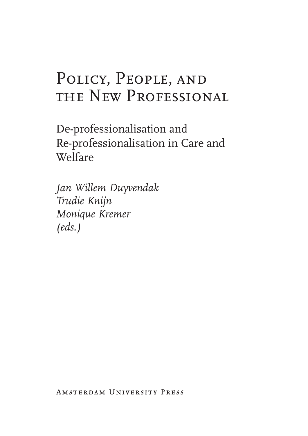# POLICY, PEOPLE, AND THE NEW PROFESSIONAL

De-professionalisation and Re-professionalisation in Care and Welfare

Jan Willem Duyvendak Trudie Knijn Monique Kremer (eds.)

AMSTERDAM UNIVERSITY PRESS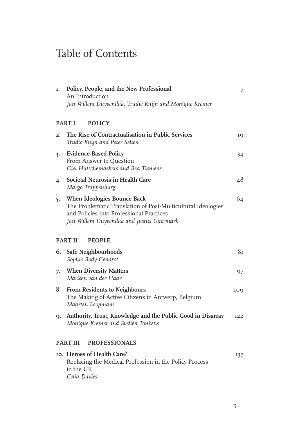## Table of Contents

| Ι. | Policy, People, and the New Professional<br>An Introduction                                                                                                                          | 7          |
|----|--------------------------------------------------------------------------------------------------------------------------------------------------------------------------------------|------------|
|    | Jan Willem Duyvendak, Trudie Knijn and Monique Kremer                                                                                                                                |            |
|    | <b>PART I</b><br><b>POLICY</b>                                                                                                                                                       |            |
| 2. | The Rise of Contractualisation in Public Services<br>Trudie Knijn and Peter Selten                                                                                                   | I9         |
| 3. | <b>Evidence-Based Policy</b><br>From Answer to Question<br>Giel Hutschemaekers and Bea Tiemens                                                                                       | 34         |
| 4. | Societal Neurosis in Health Care<br>Margo Trappenburg                                                                                                                                | 48         |
| 5. | When Ideologies Bounce Back<br>The Problematic Translation of Post-Multicultural Ideologies<br>and Policies into Professional Practices<br>Jan Willem Duyvendak and Justus Uitermark | 64         |
|    | <b>PART II</b><br><b>PEOPLE</b>                                                                                                                                                      |            |
|    | 6. Safe Neighbourhoods<br>Sophie Body-Gendrot                                                                                                                                        | 81         |
| 7. | <b>When Diversity Matters</b><br>Marleen van der Haar                                                                                                                                | 97         |
| 8. | <b>From Residents to Neighbours</b><br>The Making of Active Citizens in Antwerp, Belgium<br>Maarten Loopmans                                                                         | 109        |
|    | 9. Authority, Trust, Knowledge and the Public Good in Disarray<br>Monique Kremer and Evelien Tonkens                                                                                 | <b>I22</b> |
|    | <b>PART III</b><br><b>PROFESSIONALS</b>                                                                                                                                              |            |
|    | 10. Heroes of Health Care?<br>Replacing the Medical Profession in the Policy Process<br>in the UK<br>Celia Davies                                                                    | 137        |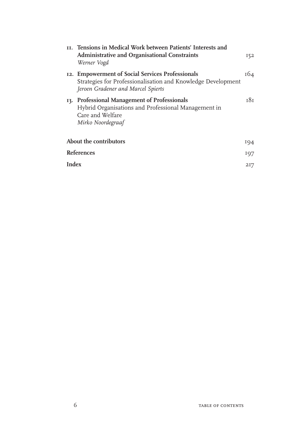| II. Tensions in Medical Work between Patients' Interests and<br><b>Administrative and Organisational Constraints</b><br>Werner Vogd                    | 152 |
|--------------------------------------------------------------------------------------------------------------------------------------------------------|-----|
| 12. Empowerment of Social Services Professionals<br>Strategies for Professionalisation and Knowledge Development<br>Jeroen Gradener and Marcel Spierts | 164 |
| 13. Professional Management of Professionals<br>Hybrid Organisations and Professional Management in<br>Care and Welfare<br>Mirko Noordegraaf           | 181 |
| About the contributors                                                                                                                                 |     |
| <b>References</b>                                                                                                                                      |     |
| Index                                                                                                                                                  |     |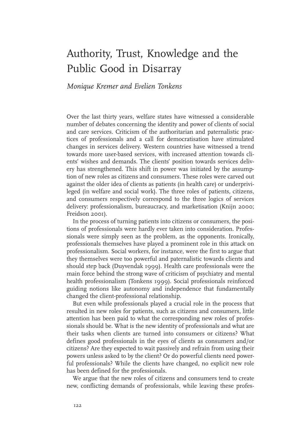### Authority, Trust, Knowledge and the Public Good in Disarray

#### Monique Kremer and Evelien Tonkens

Over the last thirty years, welfare states have witnessed a considerable number of debates concerning the identity and power of clients of social and care services. Criticism of the authoritarian and paternalistic practices of professionals and a call for democratisation have stimulated changes in services delivery. Western countries have witnessed a trend towards more user-based services, with increased attention towards clients' wishes and demands. The clients' position towards services delivery has strengthened. This shift in power was initiated by the assumption of new roles as citizens and consumers. These roles were carved out against the older idea of clients as patients (in health care) or underprivileged (in welfare and social work). The three roles of patients, citizens, and consumers respectively correspond to the three logics of services delivery: professionalism, bureaucracy, and marketisation (Knijn 2000; Freidson 2001).

In the process of turning patients into citizens or consumers, the positions of professionals were hardly ever taken into consideration. Professionals were simply seen as the problem, as the opponents. Ironically, professionals themselves have played a prominent role in this attack on professionalism. Social workers, for instance, were the first to argue that they themselves were too powerful and paternalistic towards clients and should step back (Duyvendak 1999). Health care professionals were the main force behind the strong wave of criticism of psychiatry and mental health professionalism (Tonkens 1999). Social professionals reinforced guiding notions like autonomy and independence that fundamentally changed the client-professional relationship.

But even while professionals played a crucial role in the process that resulted in new roles for patients, such as citizens and consumers, little attention has been paid to what the corresponding new roles of professionals should be. What is the new identity of professionals and what are their tasks when clients are turned into consumers or citizens? What defines good professionals in the eyes of clients as consumers and/or citizens? Are they expected to wait passively and refrain from using their powers unless asked to by the client? Or do powerful clients need powerful professionals? While the clients have changed, no explicit new role has been defined for the professionals.

We argue that the new roles of citizens and consumers tend to create new, conflicting demands of professionals, while leaving these profes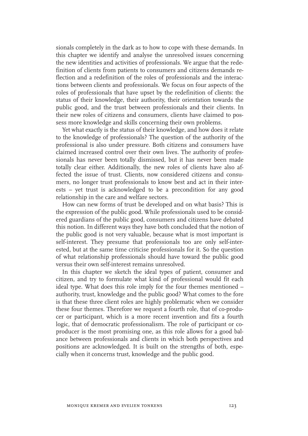sionals completely in the dark as to how to cope with these demands. In this chapter we identify and analyse the unresolved issues concerning the new identities and activities of professionals. We argue that the redefinition of clients from patients to consumers and citizens demands reflection and a redefinition of the roles of professionals and the interactions between clients and professionals. We focus on four aspects of the roles of professionals that have upset by the redefinition of clients: the status of their knowledge, their authority, their orientation towards the public good, and the trust between professionals and their clients. In their new roles of citizens and consumers, clients have claimed to possess more knowledge and skills concerning their own problems.

Yet what exactly is the status of their knowledge, and how does it relate to the knowledge of professionals? The question of the authority of the professional is also under pressure. Both citizens and consumers have claimed increased control over their own lives. The authority of professionals has never been totally dismissed, but it has never been made totally clear either. Additionally, the new roles of clients have also affected the issue of trust. Clients, now considered citizens and consumers, no longer trust professionals to know best and act in their interests – yet trust is acknowledged to be a precondition for any good relationship in the care and welfare sectors.

How can new forms of trust be developed and on what basis? This is the expression of the public good. While professionals used to be considered guardians of the public good, consumers and citizens have debated this notion. In different ways they have both concluded that the notion of the public good is not very valuable, because what is most important is self-interest. They presume that professionals too are only self-interested, but at the same time criticise professionals for it. So the question of what relationship professionals should have toward the public good versus their own self-interest remains unresolved.

In this chapter we sketch the ideal types of patient, consumer and citizen, and try to formulate what kind of professional would fit each ideal type. What does this role imply for the four themes mentioned – authority, trust, knowledge and the public good? What comes to the fore is that these three client roles are highly problematic when we consider these four themes. Therefore we request a fourth role, that of co-producer or participant, which is a more recent invention and fits a fourth logic, that of democratic professionalism. The role of participant or coproducer is the most promising one, as this role allows for a good balance between professionals and clients in which both perspectives and positions are acknowledged. It is built on the strengths of both, especially when it concerns trust, knowledge and the public good.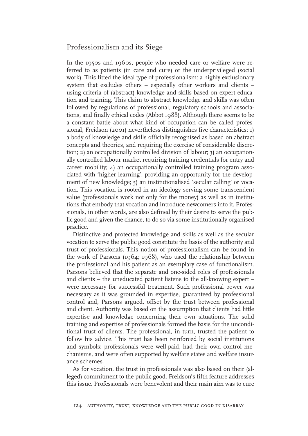#### Professionalism and its Siege

In the 1950s and 1960s, people who needed care or welfare were referred to as patients (in care and cure) or the underprivileged (social work). This fitted the ideal type of professionalism: a highly exclusionary system that excludes others – especially other workers and clients – using criteria of (abstract) knowledge and skills based on expert education and training. This claim to abstract knowledge and skills was often followed by regulations of professional, regulatory schools and associations, and finally ethical codes (Abbot 1988). Although there seems to be a constant battle about what kind of occupation can be called professional, Freidson (2001) nevertheless distinguishes five characteristics: 1) a body of knowledge and skills officially recognised as based on abstract concepts and theories, and requiring the exercise of considerable discretion; 2) an occupationally controlled division of labour; 3) an occupationally controlled labour market requiring training credentials for entry and career mobility; 4) an occupationally controlled training program associated with 'higher learning', providing an opportunity for the development of new knowledge; 5) an institutionalised 'secular calling' or vocation. This vocation is rooted in an ideology serving some transcendent value (professionals work not only for the money) as well as in institutions that embody that vocation and introduce newcomers into it. Professionals, in other words, are also defined by their desire to serve the public good and given the chance, to do so via some institutionally organised practice.

Distinctive and protected knowledge and skills as well as the secular vocation to serve the public good constitute the basis of the authority and trust of professionals. This notion of professionalism can be found in the work of Parsons (1964; 1968), who used the relationship between the professional and his patient as an exemplary case of functionalism. Parsons believed that the separate and one-sided roles of professionals and clients – the uneducated patient listens to the all-knowing expert – were necessary for successful treatment. Such professional power was necessary as it was grounded in expertise, guaranteed by professional control and, Parsons argued, offset by the trust between professional and client. Authority was based on the assumption that clients had little expertise and knowledge concerning their own situations. The solid training and expertise of professionals formed the basis for the unconditional trust of clients. The professional, in turn, trusted the patient to follow his advice. This trust has been reinforced by social institutions and symbols: professionals were well-paid, had their own control mechanisms, and were often supported by welfare states and welfare insurance schemes.

As for vocation, the trust in professionals was also based on their (alleged) commitment to the public good. Freidson's fifth feature addresses this issue. Professionals were benevolent and their main aim was to cure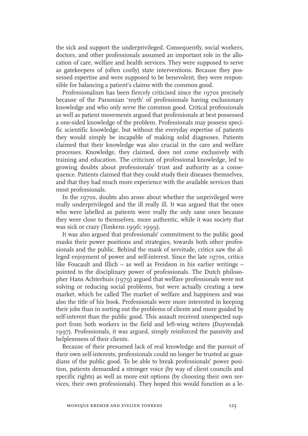the sick and support the underprivileged. Consequently, social workers, doctors, and other professionals assumed an important role in the allocation of care, welfare and health services. They were supposed to serve as gatekeepers of (often costly) state interventions. Because they possessed expertise and were supposed to be benevolent, they were responsible for balancing a patient's claims with the common good.

Professionalism has been fiercely criticised since the 1970s precisely because of the Parsonian 'myth' of professionals having exclusionary knowledge and who only serve the common good. Critical professionals as well as patient movements argued that professionals at best possessed a one-sided knowledge of the problem. Professionals may possess specific scientific knowledge, but without the everyday expertise of patients they would simply be incapable of making solid diagnoses. Patients claimed that their knowledge was also crucial in the care and welfare processes. Knowledge, they claimed, does not come exclusively with training and education. The criticism of professional knowledge, led to growing doubts about professionals' trust and authority as a consequence. Patients claimed that they could study their diseases themselves, and that they had much more experience with the available services than most professionals.

In the 1970s, doubts also arose about whether the unprivileged were really underprivileged and the ill really ill. It was argued that the ones who were labelled as patients were really the only sane ones because they were close to themselves, more authentic, while it was society that was sick or crazy (Tonkens 1996; 1999).

It was also argued that professionals' commitment to the public good masks their power positions and strategies, towards both other professionals and the public. Behind the mask of servitude, critics saw the alleged enjoyment of power and self-interest. Since the late 1970s, critics like Foucault and Illich – as well as Freidson in his earlier writings – pointed to the disciplinary power of professionals. The Dutch philosopher Hans Achterhuis (1979) argued that welfare professionals were not solving or reducing social problems, but were actually creating a new market, which he called The market of welfare and happiness and was also the title of his book. Professionals were more interested in keeping their jobs than in sorting out the problems of clients and more guided by self-interest than the public good. This assault received unexpected support from both workers in the field and left-wing writers (Duyvendak 1997). Professionals, it was argued, simply reinforced the passivity and helplessness of their clients.

Because of their presumed lack of real knowledge and the pursuit of their own self-interests, professionals could no longer be trusted as guardians of the public good. To be able to break professionals' power position, patients demanded a stronger voice (by way of client councils and specific rights) as well as more exit options (by choosing their own services, their own professionals). They hoped this would function as a le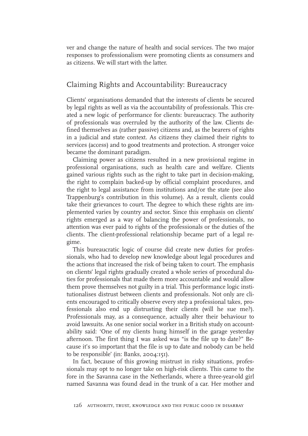ver and change the nature of health and social services. The two major responses to professionalism were promoting clients as consumers and as citizens. We will start with the latter.

#### Claiming Rights and Accountability: Bureaucracy

Clients' organisations demanded that the interests of clients be secured by legal rights as well as via the accountability of professionals. This created a new logic of performance for clients: bureaucracy. The authority of professionals was overruled by the authority of the law. Clients defined themselves as (rather passive) citizens and, as the bearers of rights in a judicial and state context. As citizens they claimed their rights to services (access) and to good treatments and protection. A stronger voice became the dominant paradigm.

Claiming power as citizens resulted in a new provisional regime in professional organisations, such as health care and welfare. Clients gained various rights such as the right to take part in decision-making, the right to complain backed-up by official complaint procedures, and the right to legal assistance from institutions and/or the state (see also Trappenburg's contribution in this volume). As a result, clients could take their grievances to court. The degree to which these rights are implemented varies by country and sector. Since this emphasis on clients' rights emerged as a way of balancing the power of professionals, no attention was ever paid to rights of the professionals or the duties of the clients. The client-professional relationship became part of a legal regime.

This bureaucratic logic of course did create new duties for professionals, who had to develop new knowledge about legal procedures and the actions that increased the risk of being taken to court. The emphasis on clients' legal rights gradually created a whole series of procedural duties for professionals that made them more accountable and would allow them prove themselves not guilty in a trial. This performance logic institutionalises distrust between clients and professionals. Not only are clients encouraged to critically observe every step a professional takes, professionals also end up distrusting their clients (will he sue me?). Professionals may, as a consequence, actually alter their behaviour to avoid lawsuits. As one senior social worker in a British study on accountability said: 'One of my clients hung himself in the garage yesterday afternoon. The first thing I was asked was "is the file up to date?" Because it's so important that the file is up to date and nobody can be held to be responsible' (in: Banks, 2004:151).

In fact, because of this growing mistrust in risky situations, professionals may opt to no longer take on high-risk clients. This came to the fore in the Savanna case in the Netherlands, where a three-year-old girl named Savanna was found dead in the trunk of a car. Her mother and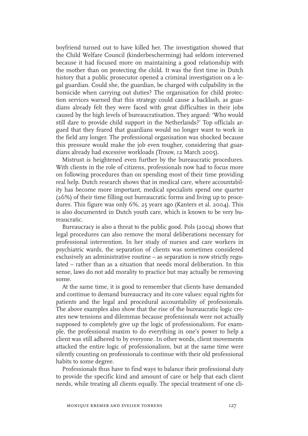boyfriend turned out to have killed her. The investigation showed that the Child Welfare Council (kinderbescherming) had seldom intervened because it had focused more on maintaining a good relationship with the mother than on protecting the child. It was the first time in Dutch history that a public prosecutor opened a criminal investigation on a legal guardian. Could she, the guardian, be charged with culpability in the homicide when carrying out duties? The organisation for child protection services warned that this strategy could cause a backlash, as guardians already felt they were faced with great difficulties in their jobs caused by the high levels of bureaucratisation. They argued: 'Who would still dare to provide child support in the Netherlands?' Top officials argued that they feared that guardians would no longer want to work in the field any longer. The professional organisation was shocked because this pressure would make the job even tougher, considering that guardians already had excessive workloads (Trouw, 12 March 2005).

Mistrust is heightened even further by the bureaucratic procedures. With clients in the role of citizens, professionals now had to focus more on following procedures than on spending most of their time providing real help. Dutch research shows that in medical care, where accountability has become more important, medical specialists spend one quarter (26%) of their time filling out bureaucratic forms and living up to procedures. This figure was only 6%, 25 years ago (Kanters et al. 2004). This is also documented in Dutch youth care, which is known to be very bureaucratic.

Bureaucracy is also a threat to the public good. Pols (2004) shows that legal procedures can also remove the moral deliberations necessary for professional intervention. In her study of nurses and care workers in psychiatric wards, the separation of clients was sometimes considered exclusively an administrative routine – as separation is now strictly regulated – rather than as a situation that needs moral deliberation. In this sense, laws do not add morality to practice but may actually be removing some.

At the same time, it is good to remember that clients have demanded and continue to demand bureaucracy and its core values: equal rights for patients and the legal and procedural accountability of professionals. The above examples also show that the rise of the bureaucratic logic creates new tensions and dilemmas because professionals were not actually supposed to completely give up the logic of professionalism. For example, the professional maxim to do everything in one's power to help a client was still adhered to by everyone. In other words, client movements attacked the entire logic of professionalism, but at the same time were silently counting on professionals to continue with their old professional habits to some degree.

Professionals thus have to find ways to balance their professional duty to provide the specific kind and amount of care or help that each client needs, while treating all clients equally. The special treatment of one cli-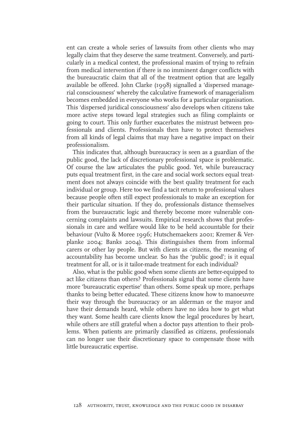ent can create a whole series of lawsuits from other clients who may legally claim that they deserve the same treatment. Conversely, and particularly in a medical context, the professional maxim of trying to refrain from medical intervention if there is no imminent danger conflicts with the bureaucratic claim that all of the treatment option that are legally available be offered. John Clarke (1998) signalled a 'dispersed managerial consciousness' whereby the calculative framework of managerialism becomes embedded in everyone who works for a particular organisation. This 'dispersed juridical consciousness' also develops when citizens take more active steps toward legal strategies such as filing complaints or going to court. This only further exacerbates the mistrust between professionals and clients. Professionals then have to protect themselves from all kinds of legal claims that may have a negative impact on their professionalism.

This indicates that, although bureaucracy is seen as a guardian of the public good, the lack of discretionary professional space is problematic. Of course the law articulates the public good. Yet, while bureaucracy puts equal treatment first, in the care and social work sectors equal treatment does not always coincide with the best quality treatment for each individual or group. Here too we find a tacit return to professional values because people often still expect professionals to make an exception for their particular situation. If they do, professionals distance themselves from the bureaucratic logic and thereby become more vulnerable concerning complaints and lawsuits. Empirical research shows that professionals in care and welfare would like to be held accountable for their behaviour (Vulto & Moree 1996; Hutschemaekers 2001; Kremer & Verplanke 2004; Banks 2004). This distinguishes them from informal carers or other lay people. But with clients as citizens, the meaning of accountability has become unclear. So has the 'public good'; is it equal treatment for all, or is it tailor-made treatment for each individual?

Also, what is the public good when some clients are better-equipped to act like citizens than others? Professionals signal that some clients have more 'bureaucratic expertise' than others. Some speak up more, perhaps thanks to being better educated. These citizens know how to manoeuvre their way through the bureaucracy or an alderman or the mayor and have their demands heard, while others have no idea how to get what they want. Some health care clients know the legal procedures by heart, while others are still grateful when a doctor pays attention to their problems. When patients are primarily classified as citizens, professionals can no longer use their discretionary space to compensate those with little bureaucratic expertise.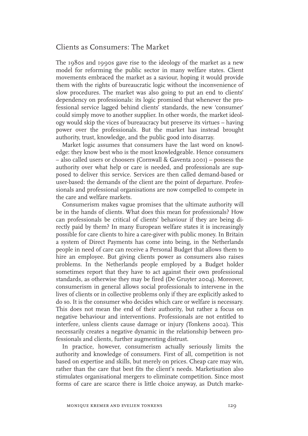#### Clients as Consumers: The Market

The 1980s and 1990s gave rise to the ideology of the market as a new model for reforming the public sector in many welfare states. Client movements embraced the market as a saviour, hoping it would provide them with the rights of bureaucratic logic without the inconvenience of slow procedures. The market was also going to put an end to clients' dependency on professionals: its logic promised that whenever the professional service lagged behind clients' standards, the new 'consumer' could simply move to another supplier. In other words, the market ideology would skip the vices of bureaucracy but preserve its virtues – having power over the professionals. But the market has instead brought authority, trust, knowledge, and the public good into disarray.

Market logic assumes that consumers have the last word on knowledge: they know best who is the most knowledgeable. Hence consumers – also called users or choosers (Cornwall & Gaventa 2001) – possess the authority over what help or care is needed, and professionals are supposed to deliver this service. Services are then called demand-based or user-based: the demands of the client are the point of departure. Professionals and professional organisations are now compelled to compete in the care and welfare markets.

Consumerism makes vague promises that the ultimate authority will be in the hands of clients. What does this mean for professionals? How can professionals be critical of clients' behaviour if they are being directly paid by them? In many European welfare states it is increasingly possible for care clients to hire a care-giver with public money. In Britain a system of Direct Payments has come into being, in the Netherlands people in need of care can receive a Personal Budget that allows them to hire an employee. But giving clients power as consumers also raises problems. In the Netherlands people employed by a Budget holder sometimes report that they have to act against their own professional standards, as otherwise they may be fired (De Gruyter 2004). Moreover, consumerism in general allows social professionals to intervene in the lives of clients or in collective problems only if they are explicitly asked to do so. It is the consumer who decides which care or welfare is necessary. This does not mean the end of their authority, but rather a focus on negative behaviour and interventions. Professionals are not entitled to interfere, unless clients cause damage or injury (Tonkens 2002). This necessarily creates a negative dynamic in the relationship between professionals and clients, further augmenting distrust.

In practice, however, consumerism actually seriously limits the authority and knowledge of consumers. First of all, competition is not based on expertise and skills, but merely on prices. Cheap care may win, rather than the care that best fits the client's needs. Marketisation also stimulates organisational mergers to eliminate competition. Since most forms of care are scarce there is little choice anyway, as Dutch marke-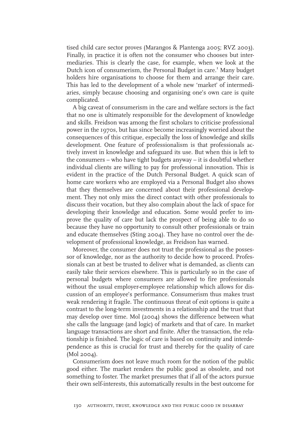tised child care sector proves (Marangos & Plantenga 2005; RVZ 2003). Finally, in practice it is often not the consumer who chooses but intermediaries. This is clearly the case, for example, when we look at the Dutch icon of consumerism, the Personal Budget in care.<sup>1</sup> Many budget holders hire organisations to choose for them and arrange their care. This has led to the development of a whole new 'market' of intermediaries, simply because choosing and organising one's own care is quite complicated.

A big caveat of consumerism in the care and welfare sectors is the fact that no one is ultimately responsible for the development of knowledge and skills. Freidson was among the first scholars to criticise professional power in the 1970s, but has since become increasingly worried about the consequences of this critique, especially the loss of knowledge and skills development. One feature of professionalism is that professionals actively invest in knowledge and safeguard its use. But when this is left to the consumers – who have tight budgets anyway – it is doubtful whether individual clients are willing to pay for professional innovation. This is evident in the practice of the Dutch Personal Budget. A quick scan of home care workers who are employed via a Personal Budget also shows that they themselves are concerned about their professional development. They not only miss the direct contact with other professionals to discuss their vocation, but they also complain about the lack of space for developing their knowledge and education. Some would prefer to improve the quality of care but lack the prospect of being able to do so because they have no opportunity to consult other professionals or train and educate themselves (Sting 2004). They have no control over the development of professional knowledge, as Freidson has warned.

Moreover, the consumer does not trust the professional as the possessor of knowledge, nor as the authority to decide how to proceed. Professionals can at best be trusted to deliver what is demanded, as clients can easily take their services elsewhere. This is particularly so in the case of personal budgets where consumers are allowed to fire professionals without the usual employer-employee relationship which allows for discussion of an employee's performance. Consumerism thus makes trust weak rendering it fragile. The continuous threat of exit options is quite a contrast to the long-term investments in a relationship and the trust that may develop over time. Mol (2004) shows the difference between what she calls the language (and logic) of markets and that of care. In market language transactions are short and finite. After the transaction, the relationship is finished. The logic of care is based on continuity and interdependence as this is crucial for trust and thereby for the quality of care (Mol 2004).

Consumerism does not leave much room for the notion of the public good either. The market renders the public good as obsolete, and not something to foster. The market presumes that if all of the actors pursue their own self-interests, this automatically results in the best outcome for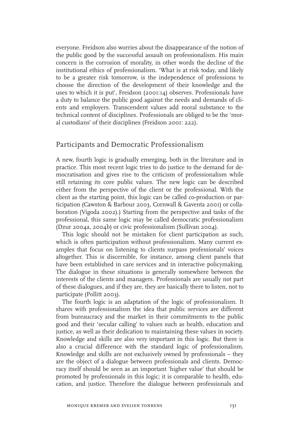everyone. Freidson also worries about the disappearance of the notion of the public good by the successful assault on professionalism. His main concern is the corrosion of morality, in other words the decline of the institutional ethics of professionalism. 'What is at risk today, and likely to be a greater risk tomorrow, is the independence of professions to choose the direction of the development of their knowledge and the uses to which it is put', Freidson (2001:14) observes. Professionals have a duty to balance the public good against the needs and demands of clients and employers. Transcendent values add moral substance to the technical content of disciplines. Professionals are obliged to be the 'moral custodians' of their disciplines (Freidson 2001: 222).

#### Participants and Democratic Professionalism

A new, fourth logic is gradually emerging, both in the literature and in practice. This most recent logic tries to do justice to the demand for democratisation and gives rise to the criticism of professionalism while still retaining its core public values. The new logic can be described either from the perspective of the client or the professional. With the client as the starting point, this logic can be called co-production or participation (Cawston & Barbour 2003, Cornwall & Gaventa 2001) or collaboration (Vigoda 2002).) Starting from the perspective and tasks of the professional, this same logic may be called democratic professionalism (Dzur 2004a, 2004b) or civic professionalism (Sullivan 2004).

This logic should not be mistaken for client participation as such, which is often participation without professionalism. Many current examples that focus on listening to clients surpass professionals' voices altogether. This is discernible, for instance, among client panels that have been established in care services and in interactive policymaking. The dialogue in these situations is generally somewhere between the interests of the clients and managers. Professionals are usually not part of these dialogues, and if they are, they are basically there to listen, not to participate (Pollitt 2003).

The fourth logic is an adaptation of the logic of professionalism. It shares with professionalism the idea that public services are different from bureaucracy and the market in their commitments to the public good and their 'secular calling' to values such as health, education and justice, as well as their dedication to maintaining these values in society. Knowledge and skills are also very important in this logic. But there is also a crucial difference with the standard logic of professionalism. Knowledge and skills are not exclusively owned by professionals – they are the object of a dialogue between professionals and clients. Democracy itself should be seen as an important 'higher value' that should be promoted by professionals in this logic; it is comparable to health, education, and justice. Therefore the dialogue between professionals and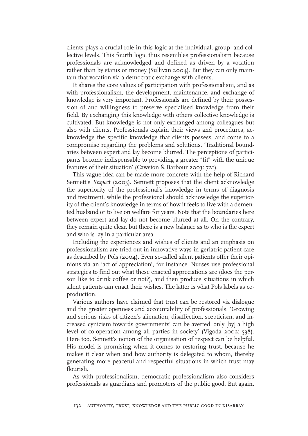clients plays a crucial role in this logic at the individual, group, and collective levels. This fourth logic thus resembles professionalism because professionals are acknowledged and defined as driven by a vocation rather than by status or money (Sullivan 2004). But they can only maintain that vocation via a democratic exchange with clients.

It shares the core values of participation with professionalism, and as with professionalism, the development, maintenance, and exchange of knowledge is very important. Professionals are defined by their possession of and willingness to preserve specialised knowledge from their field. By exchanging this knowledge with others collective knowledge is cultivated. But knowledge is not only exchanged among colleagues but also with clients. Professionals explain their views and procedures, acknowledge the specific knowledge that clients possess, and come to a compromise regarding the problems and solutions. 'Traditional boundaries between expert and lay become blurred. The perceptions of participants become indispensable to providing a greater "fit" with the unique features of their situation' (Cawston & Barbour 2003: 721).

This vague idea can be made more concrete with the help of Richard Sennett's Respect (2003). Sennett proposes that the client acknowledge the superiority of the professional's knowledge in terms of diagnosis and treatment, while the professional should acknowledge the superiority of the client's knowledge in terms of how it feels to live with a demented husband or to live on welfare for years. Note that the boundaries here between expert and lay do not become blurred at all. On the contrary, they remain quite clear, but there is a new balance as to who is the expert and who is lay in a particular area.

Including the experiences and wishes of clients and an emphasis on professionalism are tried out in innovative ways in geriatric patient care as described by Pols (2004). Even so-called silent patients offer their opinions via an 'act of appreciation', for instance. Nurses use professional strategies to find out what these enacted appreciations are (does the person like to drink coffee or not?), and then produce situations in which silent patients can enact their wishes. The latter is what Pols labels as coproduction.

Various authors have claimed that trust can be restored via dialogue and the greater openness and accountability of professionals. 'Growing and serious risks of citizen's alienation, disaffection, scepticism, and increased cynicism towards governments' can be averted 'only [by] a high level of co-operation among all parties in society' (Vigoda 2002: 538). Here too, Sennett's notion of the organisation of respect can be helpful. His model is promising when it comes to restoring trust, because he makes it clear when and how authority is delegated to whom, thereby generating more peaceful and respectful situations in which trust may flourish.

As with professionalism, democratic professionalism also considers professionals as guardians and promoters of the public good. But again,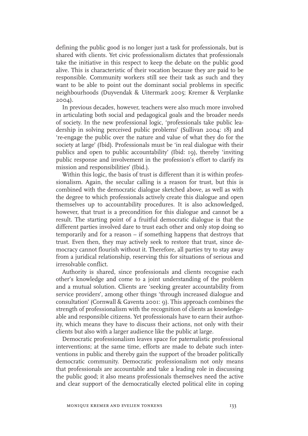defining the public good is no longer just a task for professionals, but is shared with clients. Yet civic professionalism dictates that professionals take the initiative in this respect to keep the debate on the public good alive. This is characteristic of their vocation because they are paid to be responsible. Community workers still see their task as such and they want to be able to point out the dominant social problems in specific neighbourhoods (Duyvendak & Uitermark 2005; Kremer & Verplanke 2004).

In previous decades, however, teachers were also much more involved in articulating both social and pedagogical goals and the broader needs of society. In the new professional logic, 'professionals take public leadership in solving perceived public problems' (Sullivan 2004: 18) and 're-engage the public over the nature and value of what they do for the society at large' (Ibid). Professionals must be 'in real dialogue with their publics and open to public accountability' (Ibid: 19), thereby 'inviting public response and involvement in the profession's effort to clarify its mission and responsibilities' (Ibid.).

Within this logic, the basis of trust is different than it is within professionalism. Again, the secular calling is a reason for trust, but this is combined with the democratic dialogue sketched above, as well as with the degree to which professionals actively create this dialogue and open themselves up to accountability procedures. It is also acknowledged, however, that trust is a precondition for this dialogue and cannot be a result. The starting point of a fruitful democratic dialogue is that the different parties involved dare to trust each other and only stop doing so temporarily and for a reason – if something happens that destroys that trust. Even then, they may actively seek to restore that trust, since democracy cannot flourish without it. Therefore, all parties try to stay away from a juridical relationship, reserving this for situations of serious and irresolvable conflict.

Authority is shared, since professionals and clients recognise each other's knowledge and come to a joint understanding of the problem and a mutual solution. Clients are 'seeking greater accountability from service providers', among other things 'through increased dialogue and consultation' (Cornwall & Gaventa 2001: 9). This approach combines the strength of professionalism with the recognition of clients as knowledgeable and responsible citizens. Yet professionals have to earn their authority, which means they have to discuss their actions, not only with their clients but also with a larger audience like the public at large.

Democratic professionalism leaves space for paternalistic professional interventions; at the same time, efforts are made to debate such interventions in public and thereby gain the support of the broader politically democratic community. Democratic professionalism not only means that professionals are accountable and take a leading role in discussing the public good; it also means professionals themselves need the active and clear support of the democratically elected political elite in coping